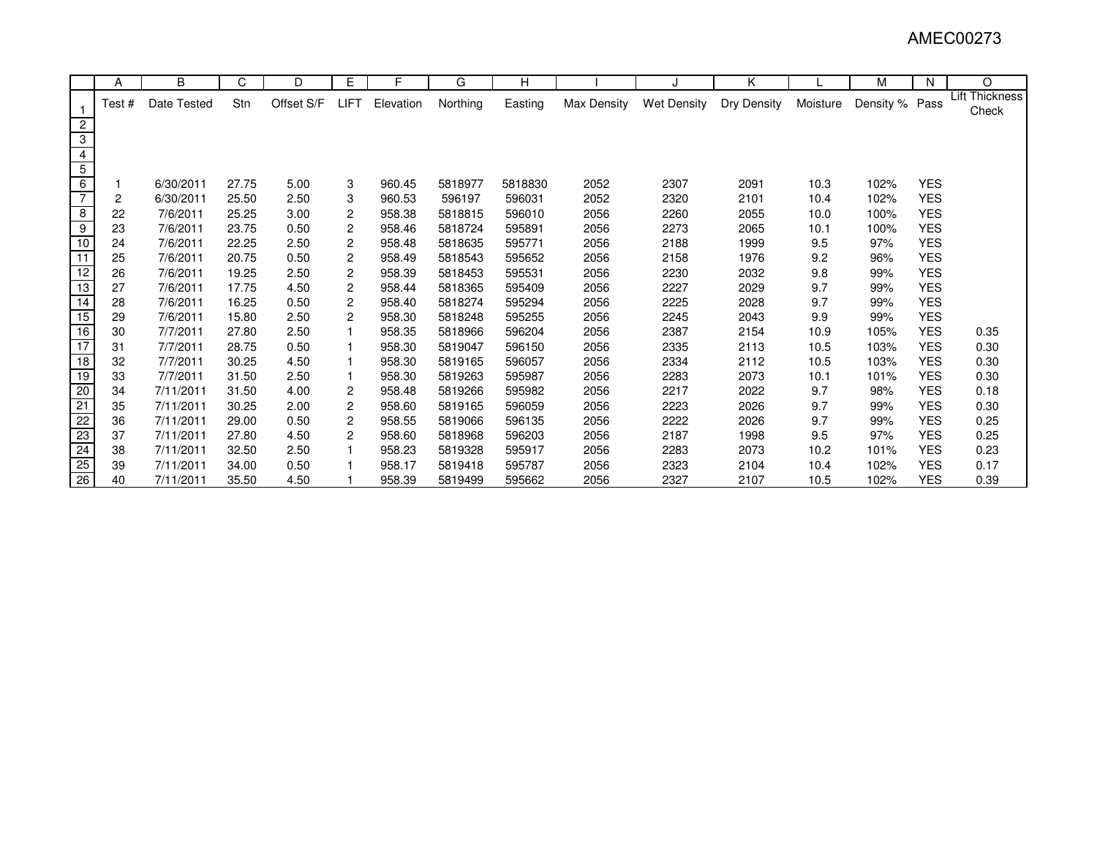|                         | A     | B           | C     | D          | E              | F         | G        | н       |             |                    | Κ           |          | М         | N          | O                       |
|-------------------------|-------|-------------|-------|------------|----------------|-----------|----------|---------|-------------|--------------------|-------------|----------|-----------|------------|-------------------------|
|                         | Test# | Date Tested | Stn   | Offset S/F | LIFT           | Elevation | Northing | Easting | Max Density | <b>Wet Density</b> | Dry Density | Moisture | Density % | Pass       | Lift Thickness<br>Check |
| $\overline{2}$          |       |             |       |            |                |           |          |         |             |                    |             |          |           |            |                         |
| 3                       |       |             |       |            |                |           |          |         |             |                    |             |          |           |            |                         |
|                         |       |             |       |            |                |           |          |         |             |                    |             |          |           |            |                         |
| $\overline{5}$          |       |             |       |            |                |           |          |         |             |                    |             |          |           |            |                         |
| $\overline{6}$          |       | 6/30/2011   | 27.75 | 5.00       | 3              | 960.45    | 5818977  | 5818830 | 2052        | 2307               | 2091        | 10.3     | 102%      | <b>YES</b> |                         |
| $\overline{7}$          | 2     | 6/30/2011   | 25.50 | 2.50       | 3              | 960.53    | 596197   | 596031  | 2052        | 2320               | 2101        | 10.4     | 102%      | <b>YES</b> |                         |
| $\overline{\mathbf{8}}$ | 22    | 7/6/2011    | 25.25 | 3.00       | 2              | 958.38    | 5818815  | 596010  | 2056        | 2260               | 2055        | 10.0     | 100%      | <b>YES</b> |                         |
| $\overline{9}$          | 23    | 7/6/2011    | 23.75 | 0.50       | $\overline{c}$ | 958.46    | 5818724  | 595891  | 2056        | 2273               | 2065        | 10.1     | 100%      | <b>YES</b> |                         |
| 10                      | 24    | 7/6/2011    | 22.25 | 2.50       | $\overline{c}$ | 958.48    | 5818635  | 595771  | 2056        | 2188               | 1999        | 9.5      | 97%       | <b>YES</b> |                         |
| 11                      | 25    | 7/6/2011    | 20.75 | 0.50       | 2              | 958.49    | 5818543  | 595652  | 2056        | 2158               | 1976        | 9.2      | 96%       | <b>YES</b> |                         |
| 12                      | 26    | 7/6/2011    | 19.25 | 2.50       | $\overline{c}$ | 958.39    | 5818453  | 595531  | 2056        | 2230               | 2032        | 9.8      | 99%       | <b>YES</b> |                         |
| 13                      | 27    | 7/6/2011    | 17.75 | 4.50       | $\overline{c}$ | 958.44    | 5818365  | 595409  | 2056        | 2227               | 2029        | 9.7      | 99%       | <b>YES</b> |                         |
| 14                      | 28    | 7/6/2011    | 16.25 | 0.50       | 2              | 958.40    | 5818274  | 595294  | 2056        | 2225               | 2028        | 9.7      | 99%       | <b>YES</b> |                         |
| $\overline{15}$         | 29    | 7/6/2011    | 15.80 | 2.50       | $\overline{c}$ | 958.30    | 5818248  | 595255  | 2056        | 2245               | 2043        | 9.9      | 99%       | <b>YES</b> |                         |
| 16                      | 30    | 7/7/2011    | 27.80 | 2.50       |                | 958.35    | 5818966  | 596204  | 2056        | 2387               | 2154        | 10.9     | 105%      | <b>YES</b> | 0.35                    |
| 17                      | 31    | 7/7/2011    | 28.75 | 0.50       |                | 958.30    | 5819047  | 596150  | 2056        | 2335               | 2113        | 10.5     | 103%      | <b>YES</b> | 0.30                    |
| 18                      | 32    | 7/7/2011    | 30.25 | 4.50       |                | 958.30    | 5819165  | 596057  | 2056        | 2334               | 2112        | 10.5     | 103%      | <b>YES</b> | 0.30                    |
| 19                      | 33    | 7/7/2011    | 31.50 | 2.50       |                | 958.30    | 5819263  | 595987  | 2056        | 2283               | 2073        | 10.1     | 101%      | <b>YES</b> | 0.30                    |
| $\overline{20}$         | 34    | 7/11/2011   | 31.50 | 4.00       | 2              | 958.48    | 5819266  | 595982  | 2056        | 2217               | 2022        | 9.7      | 98%       | <b>YES</b> | 0.18                    |
| 21                      | 35    | 7/11/2011   | 30.25 | 2.00       | $\overline{c}$ | 958.60    | 5819165  | 596059  | 2056        | 2223               | 2026        | 9.7      | 99%       | <b>YES</b> | 0.30                    |
| 22                      | 36    | 7/11/2011   | 29.00 | 0.50       | 2              | 958.55    | 5819066  | 596135  | 2056        | 2222               | 2026        | 9.7      | 99%       | <b>YES</b> | 0.25                    |
| 23                      | 37    | 7/11/2011   | 27.80 | 4.50       | $\overline{2}$ | 958.60    | 5818968  | 596203  | 2056        | 2187               | 1998        | 9.5      | 97%       | <b>YES</b> | 0.25                    |
| 24                      | 38    | 7/11/2011   | 32.50 | 2.50       |                | 958.23    | 5819328  | 595917  | 2056        | 2283               | 2073        | 10.2     | 101%      | <b>YES</b> | 0.23                    |
| $\overline{25}$         | 39    | 7/11/2011   | 34.00 | 0.50       |                | 958.17    | 5819418  | 595787  | 2056        | 2323               | 2104        | 10.4     | 102%      | <b>YES</b> | 0.17                    |
| 26                      | 40    | 7/11/2011   | 35.50 | 4.50       |                | 958.39    | 5819499  | 595662  | 2056        | 2327               | 2107        | 10.5     | 102%      | <b>YES</b> | 0.39                    |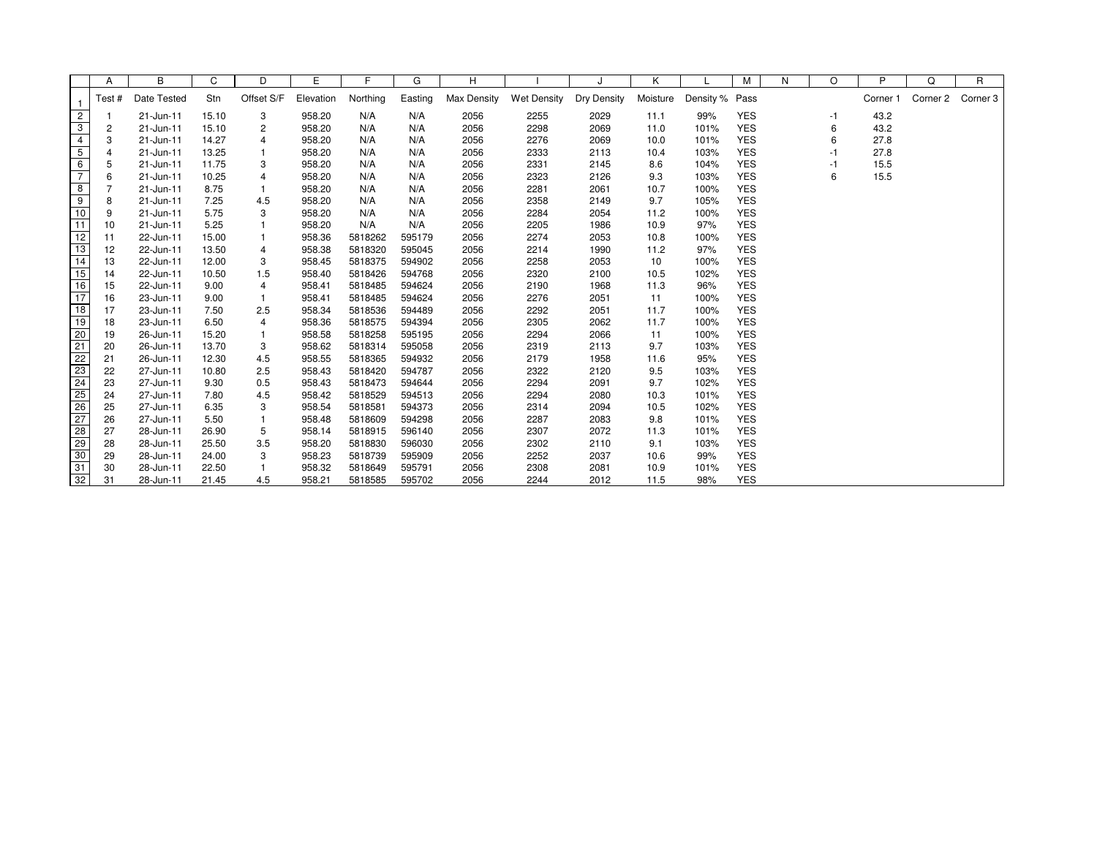|                 | Α              | В           | C     | D            | E         | F        | G       | н           |                    |                    | Κ        |                | М          | N | O    | P        | Q        | R        |
|-----------------|----------------|-------------|-------|--------------|-----------|----------|---------|-------------|--------------------|--------------------|----------|----------------|------------|---|------|----------|----------|----------|
|                 | Test#          | Date Tested | Stn   | Offset S/F   | Elevation | Northing | Easting | Max Density | <b>Wet Density</b> | <b>Dry Density</b> | Moisture | Density % Pass |            |   |      | Corner 1 | Corner 2 | Corner 3 |
| $\overline{2}$  | -1             | 21-Jun-11   | 15.10 | 3            | 958.20    | N/A      | N/A     | 2056        | 2255               | 2029               | 11.1     | 99%            | <b>YES</b> |   | -1   | 43.2     |          |          |
| 3               | 2              | 21-Jun-11   | 15.10 | 2            | 958.20    | N/A      | N/A     | 2056        | 2298               | 2069               | 11.0     | 101%           | <b>YES</b> |   | 6    | 43.2     |          |          |
| $\overline{4}$  | 3              | 21-Jun-11   | 14.27 | 4            | 958.20    | N/A      | N/A     | 2056        | 2276               | 2069               | 10.0     | 101%           | <b>YES</b> |   | 6    | 27.8     |          |          |
| $\overline{5}$  | $\overline{4}$ | 21-Jun-11   | 13.25 | $\mathbf{1}$ | 958.20    | N/A      | N/A     | 2056        | 2333               | 2113               | 10.4     | 103%           | <b>YES</b> |   | $-1$ | 27.8     |          |          |
| 6               | 5              | 21-Jun-11   | 11.75 | 3            | 958.20    | N/A      | N/A     | 2056        | 2331               | 2145               | 8.6      | 104%           | <b>YES</b> |   | $-1$ | 15.5     |          |          |
| $\overline{7}$  | 6              | 21-Jun-11   | 10.25 | 4            | 958.20    | N/A      | N/A     | 2056        | 2323               | 2126               | 9.3      | 103%           | <b>YES</b> |   | 6    | 15.5     |          |          |
| 8               | 7              | 21-Jun-11   | 8.75  |              | 958.20    | N/A      | N/A     | 2056        | 2281               | 2061               | 10.7     | 100%           | <b>YES</b> |   |      |          |          |          |
| 9               | 8              | 21-Jun-11   | 7.25  | 4.5          | 958.20    | N/A      | N/A     | 2056        | 2358               | 2149               | 9.7      | 105%           | <b>YES</b> |   |      |          |          |          |
| 10              | 9              | 21-Jun-11   | 5.75  | 3            | 958.20    | N/A      | N/A     | 2056        | 2284               | 2054               | 11.2     | 100%           | <b>YES</b> |   |      |          |          |          |
| 11              | 10             | 21-Jun-11   | 5.25  |              | 958.20    | N/A      | N/A     | 2056        | 2205               | 1986               | 10.9     | 97%            | <b>YES</b> |   |      |          |          |          |
| 12              | 11             | 22-Jun-11   | 15.00 |              | 958.36    | 5818262  | 595179  | 2056        | 2274               | 2053               | 10.8     | 100%           | <b>YES</b> |   |      |          |          |          |
| 13              | 12             | 22-Jun-11   | 13.50 | 4            | 958.38    | 5818320  | 595045  | 2056        | 2214               | 1990               | 11.2     | 97%            | <b>YES</b> |   |      |          |          |          |
| 14              | 13             | 22-Jun-11   | 12.00 | 3            | 958.45    | 5818375  | 594902  | 2056        | 2258               | 2053               | 10       | 100%           | <b>YES</b> |   |      |          |          |          |
| 15              | 14             | 22-Jun-11   | 10.50 | 1.5          | 958.40    | 5818426  | 594768  | 2056        | 2320               | 2100               | 10.5     | 102%           | <b>YES</b> |   |      |          |          |          |
| 16              | 15             | 22-Jun-11   | 9.00  | 4            | 958.41    | 5818485  | 594624  | 2056        | 2190               | 1968               | 11.3     | 96%            | <b>YES</b> |   |      |          |          |          |
| 17              | 16             | 23-Jun-11   | 9.00  |              | 958.41    | 5818485  | 594624  | 2056        | 2276               | 2051               | 11       | 100%           | <b>YES</b> |   |      |          |          |          |
| 18              | 17             | 23-Jun-11   | 7.50  | 2.5          | 958.34    | 5818536  | 594489  | 2056        | 2292               | 2051               | 11.7     | 100%           | <b>YES</b> |   |      |          |          |          |
| 19              | 18             | 23-Jun-11   | 6.50  | 4            | 958.36    | 5818575  | 594394  | 2056        | 2305               | 2062               | 11.7     | 100%           | <b>YES</b> |   |      |          |          |          |
| 20              | 19             | 26-Jun-11   | 15.20 | 1            | 958.58    | 5818258  | 595195  | 2056        | 2294               | 2066               | 11       | 100%           | <b>YES</b> |   |      |          |          |          |
| 21              | 20             | 26-Jun-11   | 13.70 | 3            | 958.62    | 5818314  | 595058  | 2056        | 2319               | 2113               | 9.7      | 103%           | <b>YES</b> |   |      |          |          |          |
| $\overline{22}$ | 21             | 26-Jun-11   | 12.30 | 4.5          | 958.55    | 5818365  | 594932  | 2056        | 2179               | 1958               | 11.6     | 95%            | <b>YES</b> |   |      |          |          |          |
| 23              | 22             | 27-Jun-11   | 10.80 | 2.5          | 958.43    | 5818420  | 594787  | 2056        | 2322               | 2120               | 9.5      | 103%           | <b>YES</b> |   |      |          |          |          |
| $\overline{24}$ | 23             | 27-Jun-11   | 9.30  | 0.5          | 958.43    | 5818473  | 594644  | 2056        | 2294               | 2091               | 9.7      | 102%           | <b>YES</b> |   |      |          |          |          |
| 25              | 24             | 27-Jun-11   | 7.80  | 4.5          | 958.42    | 5818529  | 594513  | 2056        | 2294               | 2080               | 10.3     | 101%           | <b>YES</b> |   |      |          |          |          |
| 26              | 25             | 27-Jun-11   | 6.35  | 3            | 958.54    | 5818581  | 594373  | 2056        | 2314               | 2094               | 10.5     | 102%           | <b>YES</b> |   |      |          |          |          |
| 27              | 26             | 27-Jun-11   | 5.50  | $\mathbf{1}$ | 958.48    | 5818609  | 594298  | 2056        | 2287               | 2083               | 9.8      | 101%           | <b>YES</b> |   |      |          |          |          |
| $\overline{28}$ | 27             | 28-Jun-11   | 26.90 | 5            | 958.14    | 5818915  | 596140  | 2056        | 2307               | 2072               | 11.3     | 101%           | <b>YES</b> |   |      |          |          |          |
| 29              | 28             | 28-Jun-11   | 25.50 | 3.5          | 958.20    | 5818830  | 596030  | 2056        | 2302               | 2110               | 9.1      | 103%           | <b>YES</b> |   |      |          |          |          |
| 30              | 29             | 28-Jun-11   | 24.00 | 3            | 958.23    | 5818739  | 595909  | 2056        | 2252               | 2037               | 10.6     | 99%            | <b>YES</b> |   |      |          |          |          |
| 31              | 30             | 28-Jun-11   | 22.50 |              | 958.32    | 5818649  | 595791  | 2056        | 2308               | 2081               | 10.9     | 101%           | <b>YES</b> |   |      |          |          |          |
| 32              | 31             | 28-Jun-11   | 21.45 | 4.5          | 958.21    | 5818585  | 595702  | 2056        | 2244               | 2012               | 11.5     | 98%            | <b>YES</b> |   |      |          |          |          |